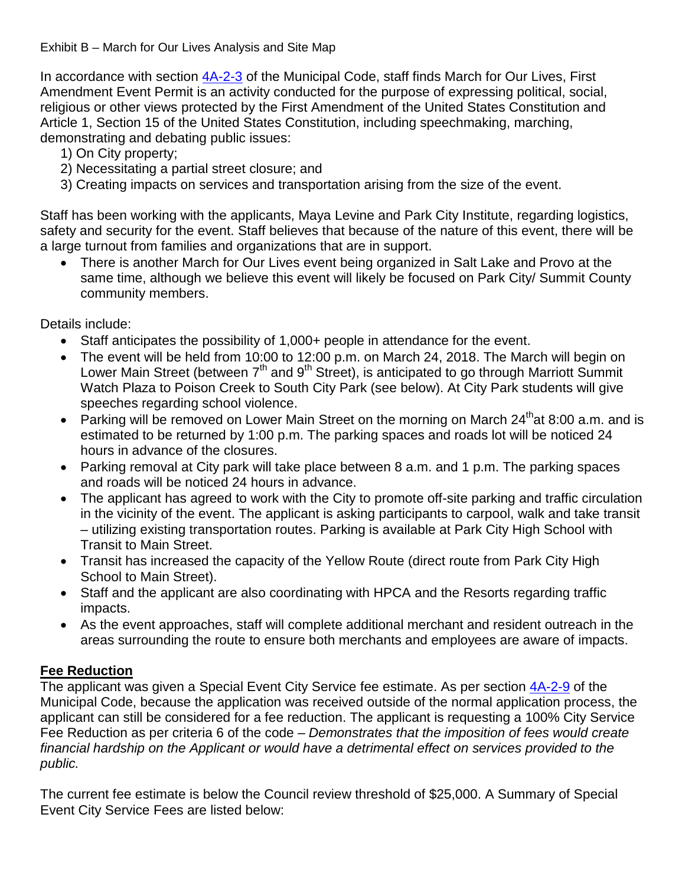Exhibit B – March for Our Lives Analysis and Site Map

In accordance with section [4A-2-3](https://parkcity.municipalcodeonline.com/book?type=ordinances#name=4A-2-3_Special_Event_Permit_Application_Procedure) of the Municipal Code, staff finds March for Our Lives, First Amendment Event Permit is an activity conducted for the purpose of expressing political, social, religious or other views protected by the First Amendment of the United States Constitution and Article 1, Section 15 of the United States Constitution, including speechmaking, marching, demonstrating and debating public issues:

- 1) On City property;
- 2) Necessitating a partial street closure; and
- 3) Creating impacts on services and transportation arising from the size of the event.

Staff has been working with the applicants, Maya Levine and Park City Institute, regarding logistics, safety and security for the event. Staff believes that because of the nature of this event, there will be a large turnout from families and organizations that are in support.

• There is another March for Our Lives event being organized in Salt Lake and Provo at the same time, although we believe this event will likely be focused on Park City/ Summit County community members.

Details include:

- Staff anticipates the possibility of 1,000+ people in attendance for the event.
- The event will be held from 10:00 to 12:00 p.m. on March 24, 2018. The March will begin on Lower Main Street (between  $7<sup>th</sup>$  and  $9<sup>th</sup>$  Street), is anticipated to go through Marriott Summit Watch Plaza to Poison Creek to South City Park (see below). At City Park students will give speeches regarding school violence.
- Parking will be removed on Lower Main Street on the morning on March  $24^{th}$ at 8:00 a.m. and is estimated to be returned by 1:00 p.m. The parking spaces and roads lot will be noticed 24 hours in advance of the closures.
- Parking removal at City park will take place between 8 a.m. and 1 p.m. The parking spaces and roads will be noticed 24 hours in advance.
- The applicant has agreed to work with the City to promote off-site parking and traffic circulation in the vicinity of the event. The applicant is asking participants to carpool, walk and take transit – utilizing existing transportation routes. Parking is available at Park City High School with Transit to Main Street.
- Transit has increased the capacity of the Yellow Route (direct route from Park City High School to Main Street).
- Staff and the applicant are also coordinating with HPCA and the Resorts regarding traffic impacts.
- As the event approaches, staff will complete additional merchant and resident outreach in the areas surrounding the route to ensure both merchants and employees are aware of impacts.

## **Fee Reduction**

The applicant was given a Special Event City Service fee estimate. As per section [4A-2-9](https://parkcity.municipalcodeonline.com/book?type=ordinances#name=4A-2-9_Fee_Reductions) of the Municipal Code, because the application was received outside of the normal application process, the applicant can still be considered for a fee reduction. The applicant is requesting a 100% City Service Fee Reduction as per criteria 6 of the code – *Demonstrates that the imposition of fees would create financial hardship on the Applicant or would have a detrimental effect on services provided to the public.*

The current fee estimate is below the Council review threshold of \$25,000. A Summary of Special Event City Service Fees are listed below: